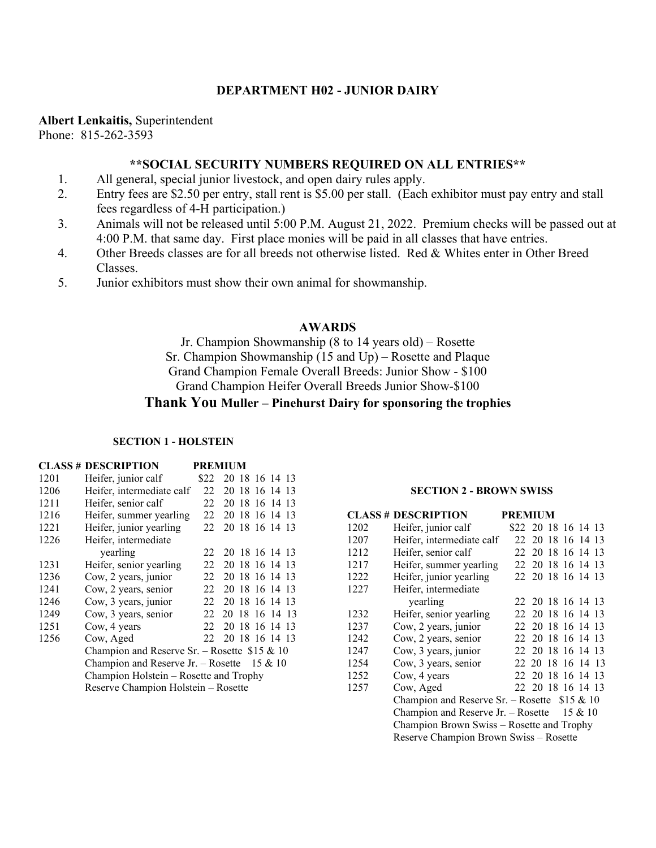## **DEPARTMENT H02 - JUNIOR DAIRY**

**Albert Lenkaitis,** Superintendent

Phone: 815-262-3593

### **\*\*SOCIAL SECURITY NUMBERS REQUIRED ON ALL ENTRIES\*\***

- 1. All general, special junior livestock, and open dairy rules apply.
- 2. Entry fees are \$2.50 per entry, stall rent is \$5.00 per stall. (Each exhibitor must pay entry and stall fees regardless of 4-H participation.)
- 3. Animals will not be released until 5:00 P.M. August 21, 2022. Premium checks will be passed out at 4:00 P.M. that same day. First place monies will be paid in all classes that have entries.
- 4. Other Breeds classes are for all breeds not otherwise listed. Red & Whites enter in Other Breed Classes.
- 5. Junior exhibitors must show their own animal for showmanship.

## **AWARDS**

Jr. Champion Showmanship (8 to 14 years old) – Rosette Sr. Champion Showmanship  $(15 \text{ and } Up)$  – Rosette and Plaque Grand Champion Female Overall Breeds: Junior Show - \$100 Grand Champion Heifer Overall Breeds Junior Show-\$100

## **Thank You Muller – Pinehurst Dairy for sponsoring the trophies**

### **SECTION 1 - HOLSTEIN**

|      | <b>CLASS # DESCRIPTION</b>                     |      | <b>PREMIUM</b> |  |  |
|------|------------------------------------------------|------|----------------|--|--|
| 1201 | Heifer, junior calf                            | \$22 | 20 18 16 14 13 |  |  |
| 1206 | Heifer, intermediate calf                      | 22   | 20 18 16 14 13 |  |  |
| 1211 | Heifer, senior calf                            | 22   | 20 18 16 14 13 |  |  |
| 1216 | Heifer, summer yearling                        | 22   | 20 18 16 14 13 |  |  |
| 1221 | Heifer, junior yearling                        | 22   | 20 18 16 14 13 |  |  |
| 1226 | Heifer, intermediate                           |      |                |  |  |
|      | yearling                                       | 22.  | 20 18 16 14 13 |  |  |
| 1231 | Heifer, senior yearling                        | 22   | 20 18 16 14 13 |  |  |
| 1236 | Cow, 2 years, junior                           | 22.  | 20 18 16 14 13 |  |  |
| 1241 | Cow, 2 years, senior                           | 22   | 20 18 16 14 13 |  |  |
| 1246 | Cow, 3 years, junior                           | 22   | 20 18 16 14 13 |  |  |
| 1249 | Cow, 3 years, senior                           | 22   | 20 18 16 14 13 |  |  |
| 1251 | Cow, 4 years                                   | 22   | 20 18 16 14 13 |  |  |
| 1256 | Cow, Aged                                      | 22   | 20 18 16 14 13 |  |  |
|      | Champion and Reserve Sr. - Rosette $$15 \& 10$ |      |                |  |  |
|      | Champion and Reserve Jr. - Rosette<br>15 & 10  |      |                |  |  |
|      | Champion Holstein – Rosette and Trophy         |      |                |  |  |
|      | Reserve Champion Holstein - Rosette            |      |                |  |  |

#### **SECTION 2 - BROWN SWISS**

|      | <b>CLASS # DESCRIPTION</b>                     | <b>PREMIUM</b>      |  |  |  |
|------|------------------------------------------------|---------------------|--|--|--|
| 1202 | Heifer, junior calf                            | \$22 20 18 16 14 13 |  |  |  |
| 1207 | Heifer, intermediate calf                      | 22 20 18 16 14 13   |  |  |  |
| 1212 | Heifer, senior calf                            | 22 20 18 16 14 13   |  |  |  |
| 1217 | Heifer, summer yearling                        | 22 20 18 16 14 13   |  |  |  |
| 1222 | Heifer, junior yearling                        | 22 20 18 16 14 13   |  |  |  |
| 1227 | Heifer, intermediate                           |                     |  |  |  |
|      | yearling                                       | 22 20 18 16 14 13   |  |  |  |
| 1232 | Heifer, senior yearling                        | 22 20 18 16 14 13   |  |  |  |
| 1237 | Cow, 2 years, junior                           | 22 20 18 16 14 13   |  |  |  |
| 1242 | Cow, 2 years, senior                           | 22 20 18 16 14 13   |  |  |  |
| 1247 | Cow, 3 years, junior                           | 22 20 18 16 14 13   |  |  |  |
| 1254 | Cow, 3 years, senior                           | 22 20 18 16 14 13   |  |  |  |
| 1252 | Cow, 4 years                                   | 22 20 18 16 14 13   |  |  |  |
| 1257 | Cow, Aged                                      | 22 20 18 16 14 13   |  |  |  |
|      | Champion and Reserve Sr. – Rosette $$15 \& 10$ |                     |  |  |  |
|      | Champion and Reserve Jr. - Rosette<br>15 & 10  |                     |  |  |  |
|      | Champion Brown Swiss - Rosette and Trophy      |                     |  |  |  |
|      | Reserve Champion Brown Swiss - Rosette         |                     |  |  |  |